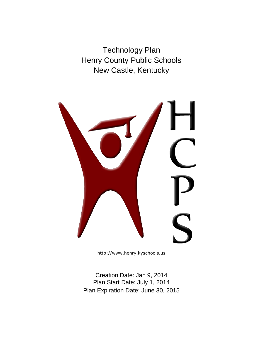Technology Plan Henry County Public Schools New Castle, Kentucky



[http://www.henry.kyschools.us](http://www.henry.kyschools.us/education/)

Creation Date: Jan 9, 2014 Plan Start Date: July 1, 2014 Plan Expiration Date: June 30, 2015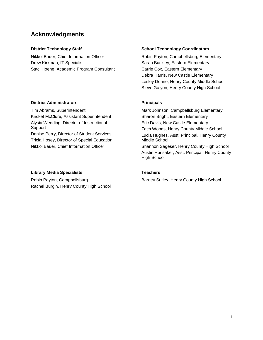## **Acknowledgments**

Nikkol Bauer, Chief Information Officer Drew Kirkman, IT Specialist Staci Hoene, Academic Program Consultant

## **District Administrators Community Principals**

Tim Abrams, Superintendent Kricket McClure, Assistant Superintendent Alysia Wedding, Director of Instructional Support Denise Perry, Director of Student Services Tricia Hosey, Director of Special Education Nikkol Bauer, Chief Information Officer

### **Library Media Specialists Teachers**

Robin Payton, Campbellsburg Rachel Burgin, Henry County High School

#### **District Technology Staff School Technology Coordinators and School Technology Coordinators**

Robin Payton, Campbellsburg Elementary Sarah Buckley, Eastern Elementary Carrie Cox, Eastern Elementary Debra Harris, New Castle Elementary Lesley Doane, Henry County Middle School Steve Galyon, Henry County High School

Mark Johnson, Campbellsburg Elementary Sharon Bright, Eastern Elementary Eric Davis, New Castle Elementary Zach Woods, Henry County Middle School Lucia Hughes, Asst. Principal, Henry County Middle School Shannon Sageser, Henry County High School Austin Hunsaker, Asst. Principal, Henry County High School

Barney Sutley, Henry County High School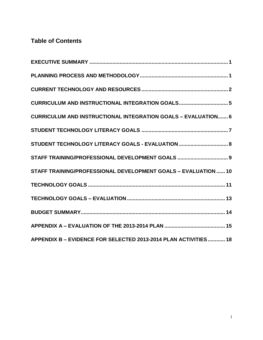# **Table of Contents**

| CURRICULUM AND INSTRUCTIONAL INTEGRATION GOALS 5                     |
|----------------------------------------------------------------------|
| <b>CURRICULUM AND INSTRUCTIONAL INTEGRATION GOALS - EVALUATION 6</b> |
|                                                                      |
| STUDENT TECHNOLOGY LITERACY GOALS - EVALUATION  8                    |
| STAFF TRAINING/PROFESSIONAL DEVELOPMENT GOALS  9                     |
| STAFF TRAINING/PROFESSIONAL DEVELOPMENT GOALS - EVALUATION  10       |
|                                                                      |
|                                                                      |
|                                                                      |
|                                                                      |
| APPENDIX B - EVIDENCE FOR SELECTED 2013-2014 PLAN ACTIVITIES 18      |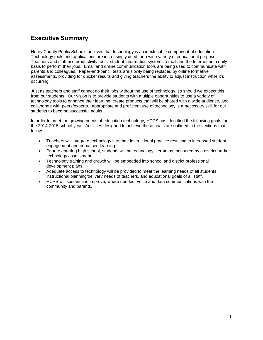# <span id="page-3-0"></span>**Executive Summary**

Henry County Public Schools believes that technology is an inextricable component of education. Technology tools and applications are increasingly used for a wide variety of educational purposes. Teachers and staff use productivity tools, student information systems, email and the Internet on a daily basis to perform their jobs. Email and online communication tools are being used to communicate with parents and colleagues. Paper-and-pencil tests are slowly being replaced by online formative assessments, providing for quicker results and giving teachers the ability to adjust instruction while it's occurring.

Just as teachers and staff cannot do their jobs without the use of technology, so should we expect this from our students. Our vision is to provide students with multiple opportunities to use a variety of technology tools to enhance their learning, create products that will be shared with a wide audience, and collaborate with peers/experts. Appropriate and proficient use of technology is a necessary skill for our students to become successful adults.

In order to meet the growing needs of education technology, HCPS has identified the following goals for the 2014-2015 school year. Activities designed to achieve these goals are outlined in the sections that follow.

- Teachers will integrate technology into their instructional practice resulting in increased student engagement and enhanced learning.
- Prior to entering high school, students will be technology literate as measured by a district and/or technology assessment.
- Technology training and growth will be embedded into school and district professional development plans.
- Adequate access to technology will be provided to meet the learning needs of all students, instructional planning/delivery needs of teachers, and educational goals of all staff.
- HCPS will sustain and improve, where needed, voice and data communications with the community and parents.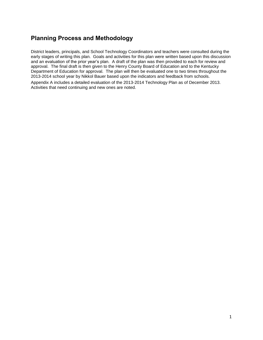# <span id="page-4-0"></span>**Planning Process and Methodology**

District leaders, principals, and School Technology Coordinators and teachers were consulted during the early stages of writing this plan. Goals and activities for this plan were written based upon this discussion and an evaluation of the prior year's plan. A draft of the plan was then provided to each for review and approval. The final draft is then given to the Henry County Board of Education and to the Kentucky Department of Education for approval. The plan will then be evaluated one to two times throughout the 2013-2014 school year by Nikkol Bauer based upon the indicators and feedback from schools.

Appendix A includes a detailed evaluation of the 2013-2014 Technology Plan as of December 2013. Activities that need continuing and new ones are noted.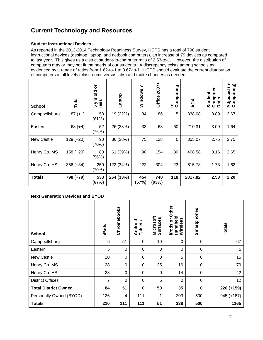# <span id="page-5-0"></span>**Current Technology and Resources**

## **Student Instructional Devices**

As reported in the 2013-2014 Technology Readiness Survey, HCPS has a total of 798 student instructional devices (desktop, laptop, and netbook computers), an increase of 79 devices as compared to last year. This gives us a district student-to-computer ratio of 2.53-to-1. However, the distribution of computers may or may not fit the needs of our students. A discrepancy exists among schools as evidenced by a range of ratios from 1.62-to-1 to 3.67-to-1. HCPS should evaluate the current distribution of computers at all levels (classrooms versus labs) and make changes as needed.

| <b>School</b>     | Total       | ŏ<br>흥<br>5 yrs<br>less | Laptop    | Ľ<br>Windows | 2007+<br>Office | Computing<br>ċ | ADA     | Computer<br>Student-<br>Ratio | Adjusted (n-<br>Computing) |
|-------------------|-------------|-------------------------|-----------|--------------|-----------------|----------------|---------|-------------------------------|----------------------------|
| Campbellsburg     | $87 (+1)$   | 53<br>(61%)             | 19 (22%)  | 34           | 86              | 5              | 338.08  | 3.89                          | 3.67                       |
| Eastern           | $68 (+4)$   | 52<br>(76%)             | 26 (38%)  | 33           | 68              | 60             | 210.31  | 3.09                          | 1.64                       |
| <b>New Castle</b> | $129 (+20)$ | 90<br>(70%)             | 36 (28%)  | 75           | 128             | $\Omega$       | 355.07  | 2.75                          | 2.75                       |
| Henry Co. MS      | $158 (+20)$ | 88<br>(56%)             | 61 (39%)  | 90           | 154             | 30             | 498.58  | 3.16                          | 2.65                       |
| Henry Co. HS      | $356 (+34)$ | 250<br>(70%)            | 122 (34%) | 222          | 304             | 23             | 615.78  | 1.73                          | 1.62                       |
| <b>Totals</b>     | 798 (+79)   | 533<br>(67%)            | 264 (33%) | 454<br>(57%) | 740<br>(93%)    | 118            | 2017.82 | 2.53                          | 2.20                       |

## **Next Generation Devices and BYOD**

| <b>School</b>               | iPads | Chromebooks | Android<br>Tablets | Microsoft<br><b>Surfaces</b> | Other<br>Handheld<br>ŏ<br>Wireless<br>iPods | Smartphones      | <b>Totals</b> |
|-----------------------------|-------|-------------|--------------------|------------------------------|---------------------------------------------|------------------|---------------|
| Campbellsburg               | 6     | 51          | 0                  | 10                           | $\mathbf 0$                                 | 0                | 67            |
| Eastern                     | 5     | 0           | 0                  | 0                            | 0                                           | 0                | 5             |
| <b>New Castle</b>           | 10    | 0           | 0                  | $\mathbf 0$                  | 5                                           | $\boldsymbol{0}$ | 15            |
| Henry Co. MS                | 28    | $\Omega$    | 0                  | 35                           | 16                                          | 0                | 79            |
| Henry Co. HS                | 28    | 0           | 0                  | 0                            | 14                                          | 0                | 42            |
| <b>District Offices</b>     | 7     | $\Omega$    | 0                  | 5                            | $\Omega$                                    | $\mathbf 0$      | 12            |
| <b>Total District Owned</b> | 84    | 51          | $\mathbf 0$        | 50                           | 35                                          | $\mathbf 0$      | 220 (+159)    |
| Personally Owned (BYOD)     | 126   | 4           | 111                | 1                            | 203                                         | 500              | 945 (+187)    |
| <b>Totals</b>               | 210   | 111         | 111                | 51                           | 238                                         | 500              | 1165          |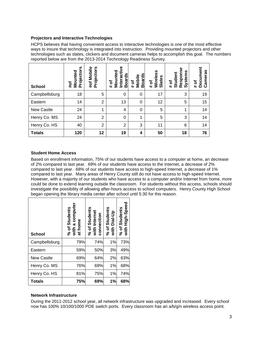#### **Projectors and Interactive Technologies**

HCPS believes that having convenient access to interactive technologies is one of the most effective ways to insure that technology is integrated into instruction. Providing mounted projectors and other technologies such as slates, clickers and document cameras helps to accomplish this goal. The numbers reported below are from the 2013-2014 Technology Readiness Survey.

| <b>School</b>     | n<br>nted<br>rojecto<br>Nou<br>#of<br>௳ | Mobile<br>rojectors<br>#of<br>ō. | Interactive<br>Mounted<br><b>Boards</b><br>৳<br># | <b>Boards</b><br>Mobile<br>đ<br>$\ddot{}$ | Wireless<br>lates<br>৳<br>$\ddot{}$<br>ທ | Response<br>Systems<br>Student<br>৳<br># | Document<br>ameras<br>ð<br>$\ddot{}$<br>ပ |
|-------------------|-----------------------------------------|----------------------------------|---------------------------------------------------|-------------------------------------------|------------------------------------------|------------------------------------------|-------------------------------------------|
| Campbellsburg     | 18                                      | 5                                | 0                                                 | 0                                         | 17                                       | 3                                        | 19                                        |
| Eastern           | 14                                      | $\overline{2}$                   | 13                                                | 0                                         | 12                                       | 5                                        | 15                                        |
| <b>New Castle</b> | 24                                      | 1                                | $\overline{4}$                                    | 0                                         | 5                                        | 4                                        | 14                                        |
| Henry Co. MS      | 24                                      | $\overline{2}$                   | $\Omega$                                          | 1                                         | 5                                        | 3                                        | 14                                        |
| Henry Co. HS      | 40                                      | $\overline{2}$                   | $\overline{2}$                                    | 3                                         | 11                                       | 6                                        | 14                                        |
| <b>Totals</b>     | 120                                     | 12                               | 19                                                | 4                                         | 50                                       | 18                                       | 76                                        |

#### **Student Home Access**

Based on enrollment information, 75% of our students have access to a computer at home, an decrease of 2% compared to last year. 69% of our students have access to the Internet, a decrease of 2% compared to last year. 68% of our students have access to high-speed Internet, a decrease of 1% compared to last year. Many areas of Henry County still do not have access to high-speed Internet. However, with a majority of our students who have access to a computer and/or Internet from home, more could be done to extend learning outside the classroom. For students without this access, schools should investigate the possibility of allowing after-hours access to school computers. Henry County High School began opening the library media center after school until 5:30 for this reason.

| <b>School</b>     | a computer<br>% of Students<br>at home<br>with | % of Students<br>with Internet<br>connection | % of Students<br>with Dial-Up | Students<br>High-Speed<br>$%$ of<br>with |
|-------------------|------------------------------------------------|----------------------------------------------|-------------------------------|------------------------------------------|
| Campbellsburg     | 79%                                            | 74%                                          | 1%                            | 73%                                      |
| Eastern           | 59%                                            | 50%                                          | 3%                            | 49%                                      |
| <b>New Castle</b> | 69%                                            | 64%                                          | 2%                            | 63%                                      |
| Henry Co. MS      | 76%                                            | 69%                                          | 1%                            | 68%                                      |
| Henry Co. HS      | 81%                                            | 75%                                          | 1%                            | 74%                                      |
| <b>Totals</b>     | 75%                                            | 69%                                          | 1%                            | 68%                                      |

## **Network Infrastructure**

During the 2011-2012 school year, all network infrastructure was upgraded and increased. Every school now has 100% 10/100/1000 POE switch ports. Every classroom has an a/b/g/n wireless access point.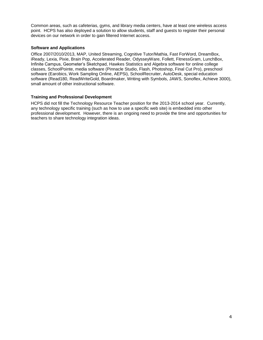Common areas, such as cafeterias, gyms, and library media centers, have at least one wireless access point. HCPS has also deployed a solution to allow students, staff and guests to register their personal devices on our network in order to gain filtered Internet access.

#### **Software and Applications**

Office 2007/2010/2013, MAP, United Streaming, Cognitive Tutor/Mathia, Fast ForWord, DreamBox, iReady, Lexia, Pixie, Brain Pop, Accelerated Reader, OdysseyWare, Follett, FitnessGram, LunchBox, Infinite Campus, Geometer's Sketchpad, Hawkes Statistics and Algebra software for online college classes, SchoolPointe, media software (Pinnacle Studio, Flash, Photoshop, Final Cut Pro), preschool software (Earobics, Work Sampling Online, AEPSi), SchoolRecruiter, AutoDesk, special education software (Read180, ReadWriteGold, Boardmaker, Writing with Symbols, JAWS, Sonoflex, Achieve 3000), small amount of other instructional software.

#### **Training and Professional Development**

HCPS did not fill the Technology Resource Teacher position for the 2013-2014 school year. Currently, any technology specific training (such as how to use a specific web site) is embedded into other professional development. However, there is an ongoing need to provide the time and opportunities for teachers to share technology integration ideas.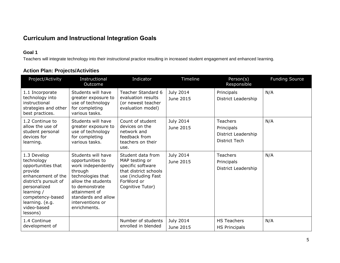# **Curriculum and Instructional Integration Goals**

## **Goal 1**

Teachers will integrate technology into their instructional practice resulting in increased student engagement and enhanced learning.

|  |  | <b>Action Plan: Projects/Activities</b> |  |
|--|--|-----------------------------------------|--|
|--|--|-----------------------------------------|--|

<span id="page-8-0"></span>

| Project/Activity                                                                                                                                                                                          | Instructional<br><b>Outcome</b>                                                                                                                                                                                  | Indicator                                                                                                                                  | Timeline               | Person(s)<br>Responsible                                                     | <b>Funding Source</b> |
|-----------------------------------------------------------------------------------------------------------------------------------------------------------------------------------------------------------|------------------------------------------------------------------------------------------------------------------------------------------------------------------------------------------------------------------|--------------------------------------------------------------------------------------------------------------------------------------------|------------------------|------------------------------------------------------------------------------|-----------------------|
| 1.1 Incorporate<br>technology into<br>instructional<br>strategies and other<br>best practices.                                                                                                            | Students will have<br>greater exposure to<br>use of technology<br>for completing<br>various tasks.                                                                                                               | Teacher Standard 6<br>evaluation results<br>(or newest teacher<br>evaluation model)                                                        | July 2014<br>June 2015 | Principals<br>District Leadership                                            | N/A                   |
| 1.2 Continue to<br>allow the use of<br>student personal<br>devices for<br>learning.                                                                                                                       | Students will have<br>greater exposure to<br>use of technology<br>for completing<br>various tasks.                                                                                                               | Count of student<br>devices on the<br>network and<br>feedback from<br>teachers on their<br>use.                                            | July 2014<br>June 2015 | <b>Teachers</b><br>Principals<br>District Leadership<br><b>District Tech</b> | N/A                   |
| 1.3 Develop<br>technology<br>opportunities that<br>provide<br>enhancement of the<br>district's pursuit of<br>personalized<br>learning /<br>competency-based<br>learning. (e.g.<br>video-based<br>lessons) | Students will have<br>opportunities to<br>work independently<br>through<br>technologies that<br>allow the students<br>to demonstrate<br>attainment of<br>standards and allow<br>interventions or<br>enrichments. | Student data from<br>MAP testing or<br>specific software<br>that district schools<br>use (including Fast<br>ForWord or<br>Cognitive Tutor) | July 2014<br>June 2015 | <b>Teachers</b><br>Principals<br>District Leadership                         | N/A                   |
| 1.4 Continue<br>development of                                                                                                                                                                            |                                                                                                                                                                                                                  | Number of students<br>enrolled in blended                                                                                                  | July 2014<br>June 2015 | <b>HS Teachers</b><br><b>HS Principals</b>                                   | N/A                   |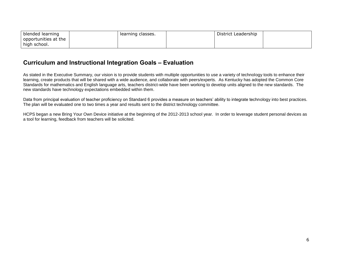| blended learning     | learning classes. | District Leadership |  |
|----------------------|-------------------|---------------------|--|
| opportunities at the |                   |                     |  |
| high school.         |                   |                     |  |

## **Curriculum and Instructional Integration Goals – Evaluation**

As stated in the Executive Summary, our vision is to provide students with multiple opportunities to use a variety of technology tools to enhance their learning, create products that will be shared with a wide audience, and collaborate with peers/experts. As Kentucky has adopted the Common Core Standards for mathematics and English language arts, teachers district-wide have been working to develop units aligned to the new standards. The new standards have technology expectations embedded within them.

Data from principal evaluation of teacher proficiency on Standard 6 provides a measure on teachers' ability to integrate technology into best practices. The plan will be evaluated one to two times a year and results sent to the district technology committee.

<span id="page-9-0"></span>HCPS began a new Bring Your Own Device initiative at the beginning of the 2012-2013 school year. In order to leverage student personal devices as a tool for learning, feedback from teachers will be solicited.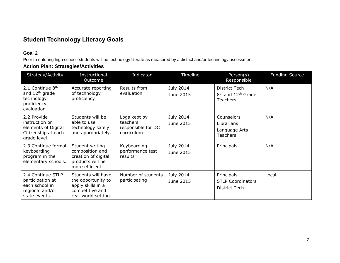# **Student Technology Literacy Goals**

## **Goal 2**

Prior to entering high school, students will be technology literate as measured by a district and/or technology assessment.

## **Action Plan: Strategies/Activities**

<span id="page-10-0"></span>

| Strategy/Activity                                                                           | Instructional<br>Outcome                                                                                | Indicator                                                    | Timeline               | Person(s)<br>Responsible                                                       | <b>Funding Source</b> |
|---------------------------------------------------------------------------------------------|---------------------------------------------------------------------------------------------------------|--------------------------------------------------------------|------------------------|--------------------------------------------------------------------------------|-----------------------|
| 2.1 Continue 8th<br>and 12 <sup>th</sup> grade<br>technology<br>proficiency<br>evaluation   | Accurate reporting<br>of technology<br>proficiency                                                      | Results from<br>evaluation                                   | July 2014<br>June 2015 | District Tech<br>8 <sup>th</sup> and 12 <sup>th</sup> Grade<br><b>Teachers</b> | N/A                   |
| 2.2 Provide<br>instruction on<br>elements of Digital<br>Citizenship at each<br>grade level. | Students will be<br>able to use<br>technology safely<br>and appropriately.                              | Logs kept by<br>teachers<br>responsible for DC<br>curriculum | July 2014<br>June 2015 | Counselors<br>Librarians<br>Language Arts<br><b>Teachers</b>                   | N/A                   |
| 2.3 Continue formal<br>keyboarding<br>program in the<br>elementary schools.                 | Student writing<br>composition and<br>creation of digital<br>products will be<br>more efficient.        | Keyboarding<br>performance test<br>results                   | July 2014<br>June 2015 | Principals                                                                     | N/A                   |
| 2.4 Continue STLP<br>participation at<br>each school in<br>regional and/or<br>state events. | Students will have<br>the opportunity to<br>apply skills in a<br>competitive and<br>real-world setting. | Number of students<br>participating                          | July 2014<br>June 2015 | Principals<br><b>STLP Coordinators</b><br>District Tech                        | Local                 |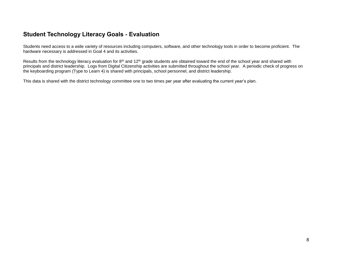## **Student Technology Literacy Goals - Evaluation**

Students need access to a wide variety of resources including computers, software, and other technology tools in order to become proficient. The hardware necessary is addressed in Goal 4 and its activities.

Results from the technology literacy evaluation for 8<sup>th</sup> and 12<sup>th</sup> grade students are obtained toward the end of the school year and shared with principals and district leadership. Logs from Digital Citizenship activities are submitted throughout the school year. A periodic check of progress on the keyboarding program (Type to Learn 4) is shared with principals, school personnel, and district leadership.

<span id="page-11-0"></span>This data is shared with the district technology committee one to two times per year after evaluating the current year's plan.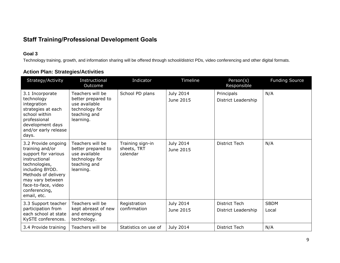# **Staff Training/Professional Development Goals**

## **Goal 3**

Technology training, growth, and information sharing will be offered through school/district PDs, video conferencing and other digital formats.

<span id="page-12-0"></span>

| Strategy/Activity                                                                                                                                                                                                    | Instructional<br>Outcome                                                                               | Indicator                                   | Timeline               | Person(s)<br>Responsible                    | <b>Funding Source</b> |
|----------------------------------------------------------------------------------------------------------------------------------------------------------------------------------------------------------------------|--------------------------------------------------------------------------------------------------------|---------------------------------------------|------------------------|---------------------------------------------|-----------------------|
| 3.1 Incorporate<br>technology<br>integration<br>strategies at each<br>school within<br>professional<br>development days<br>and/or early release<br>days.                                                             | Teachers will be<br>better prepared to<br>use available<br>technology for<br>teaching and<br>learning. | School PD plans                             | July 2014<br>June 2015 | Principals<br>District Leadership           | N/A                   |
| 3.2 Provide ongoing<br>training and/or<br>support for various<br>instructional<br>technologies,<br>including BYOD.<br>Methods of delivery<br>may vary between<br>face-to-face, video<br>conferencing,<br>email, etc. | Teachers will be<br>better prepared to<br>use available<br>technology for<br>teaching and<br>learning. | Training sign-in<br>sheets, TRT<br>calendar | July 2014<br>June 2015 | <b>District Tech</b>                        | N/A                   |
| 3.3 Support teacher<br>participation from<br>each school at state<br>KySTE conferences.                                                                                                                              | Teachers will be<br>kept abreast of new<br>and emerging<br>technology.                                 | Registration<br>confirmation                | July 2014<br>June 2015 | <b>District Tech</b><br>District Leadership | <b>SBDM</b><br>Local  |
| 3.4 Provide training                                                                                                                                                                                                 | Teachers will be                                                                                       | Statistics on use of                        | <b>July 2014</b>       | <b>District Tech</b>                        | N/A                   |

## **Action Plan: Strategies/Activities**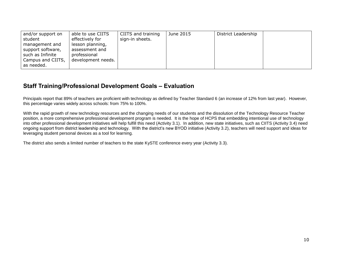| and/or support on<br>student<br>management and<br>support software,<br>such as Infinite<br>Campus and CIITS, | able to use CIITS<br>effectively for<br>lesson planning,<br>assessment and<br>professional<br>development needs. | CIITS and training<br>sign-in sheets. | June 2015 | District Leadership |  |
|--------------------------------------------------------------------------------------------------------------|------------------------------------------------------------------------------------------------------------------|---------------------------------------|-----------|---------------------|--|
| as needed.                                                                                                   |                                                                                                                  |                                       |           |                     |  |

# **Staff Training/Professional Development Goals – Evaluation**

Principals report that 89% of teachers are proficient with technology as defined by Teacher Standard 6 (an increase of 12% from last year). However, this percentage varies widely across schools: from 75% to 100%.

With the rapid growth of new technology resources and the changing needs of our students and the dissolution of the Technology Resource Teacher position, a more comprehensive professional development program is needed. It is the hope of HCPS that embedding intentional use of technology into other professional development initiatives will help fulfill this need (Activity 3.1). In addition, new state initiatives, such as CIITS (Activity 3.4) need ongoing support from district leadership and technology. With the district's new BYOD initiative (Activity 3.2), teachers will need support and ideas for leveraging student personal devices as a tool for learning.

<span id="page-13-0"></span>The district also sends a limited number of teachers to the state KySTE conference every year (Activity 3.3).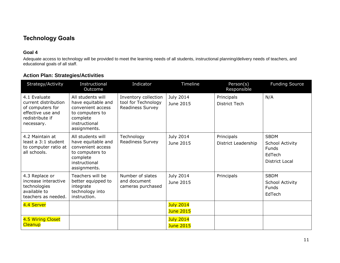# **Technology Goals**

## **Goal 4**

Adequate access to technology will be provided to meet the learning needs of all students, instructional planning/delivery needs of teachers, and educational goals of all staff.

<span id="page-14-0"></span>

| Strategy/Activity                                                                                              | Instructional<br>Outcome                                                                                                     | Indicator                                                       | Timeline                             | Person(s)<br>Responsible          | <b>Funding Source</b>                                                      |
|----------------------------------------------------------------------------------------------------------------|------------------------------------------------------------------------------------------------------------------------------|-----------------------------------------------------------------|--------------------------------------|-----------------------------------|----------------------------------------------------------------------------|
| 4.1 Evaluate<br>current distribution<br>of computers for<br>effective use and<br>redistribute if<br>necessary. | All students will<br>have equitable and<br>convenient access<br>to computers to<br>complete<br>instructional<br>assignments. | Inventory collection<br>tool for Technology<br>Readiness Survey | July 2014<br>June 2015               | Principals<br>District Tech       | N/A                                                                        |
| 4.2 Maintain at<br>least a 3:1 student<br>to computer ratio at<br>all schools.                                 | All students will<br>have equitable and<br>convenient access<br>to computers to<br>complete<br>instructional<br>assignments. | Technology<br>Readiness Survey                                  | July 2014<br>June 2015               | Principals<br>District Leadership | <b>SBDM</b><br>School Activity<br>Funds<br>EdTech<br><b>District Local</b> |
| 4.3 Replace or<br>increase interactive<br>technologies<br>available to<br>teachers as needed.                  | Teachers will be<br>better equipped to<br>integrate<br>technology into<br>instruction.                                       | Number of slates<br>and document<br>cameras purchased           | July 2014<br>June 2015               | Principals                        | <b>SBDM</b><br>School Activity<br>Funds<br>EdTech                          |
| 4.4 Server                                                                                                     |                                                                                                                              |                                                                 | <b>July 2014</b><br><b>June 2015</b> |                                   |                                                                            |
| 4.5 Wiring Closet<br><b>Cleanup</b>                                                                            |                                                                                                                              |                                                                 | <b>July 2014</b><br><b>June 2015</b> |                                   |                                                                            |

## **Action Plan: Strategies/Activities**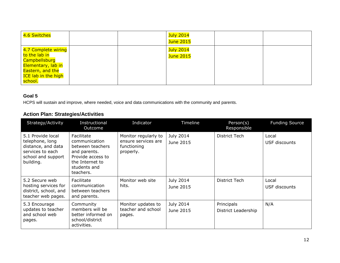| 4.6 Switches                                                                                                                             |  | <mark>July 2014</mark><br><mark>June 2015</mark> |  |
|------------------------------------------------------------------------------------------------------------------------------------------|--|--------------------------------------------------|--|
| 4.7 Complete wiring<br>to the lab in<br>Campbellsburg<br>Elementary, lab in<br>Eastern, and the<br><b>ICE lab in the high</b><br>school. |  | July 2014<br>June 2015                           |  |

## **Goal 5**

HCPS will sustain and improve, where needed, voice and data communications with the community and parents.

# **Action Plan: Strategies/Activities**

| Strategy/Activity                                                                                                 | Instructional<br>Outcome                                                                                                             | Indicator                                                               | Timeline               | Person(s)<br>Responsible          | <b>Funding Source</b>  |
|-------------------------------------------------------------------------------------------------------------------|--------------------------------------------------------------------------------------------------------------------------------------|-------------------------------------------------------------------------|------------------------|-----------------------------------|------------------------|
| 5.1 Provide local<br>telephone, long<br>distance, and data<br>services to each<br>school and support<br>building. | Facilitate<br>communication<br>between teachers<br>and parents.<br>Provide access to<br>the Internet to<br>students and<br>teachers. | Monitor regularly to<br>ensure services are<br>functioning<br>properly. | July 2014<br>June 2015 | District Tech                     | Local<br>USF discounts |
| 5.2 Secure web<br>hosting services for<br>district, school, and<br>teacher web pages.                             | Facilitate<br>communication<br>between teachers<br>and parents.                                                                      | Monitor web site<br>hits.                                               | July 2014<br>June 2015 | <b>District Tech</b>              | Local<br>USF discounts |
| 5.3 Encourage<br>updates to teacher<br>and school web<br>pages.                                                   | Community<br>members will be<br>better informed on<br>school/district<br>activities.                                                 | Monitor updates to<br>teacher and school<br>pages.                      | July 2014<br>June 2015 | Principals<br>District Leadership | N/A                    |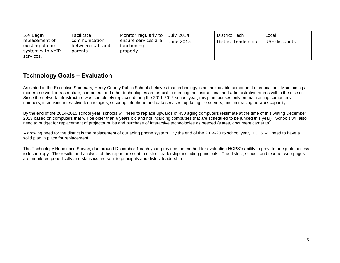| Facilitate<br>$\vert$ 5.4 Begin<br>replacement of<br>communication<br>ensure services are<br>between staff and<br>existing phone<br>functioning<br>system with VoIP<br>parents.<br>properly.<br>services. | Monitor regularly to $\vert$ July 2014<br>June 2015 | District Tech<br>District Leadership | Local<br>USF discounts |
|-----------------------------------------------------------------------------------------------------------------------------------------------------------------------------------------------------------|-----------------------------------------------------|--------------------------------------|------------------------|
|-----------------------------------------------------------------------------------------------------------------------------------------------------------------------------------------------------------|-----------------------------------------------------|--------------------------------------|------------------------|

# **Technology Goals – Evaluation**

As stated in the Executive Summary, Henry County Public Schools believes that technology is an inextricable component of education. Maintaining a modern network infrastructure, computers and other technologies are crucial to meeting the instructional and administrative needs within the district. Since the network infrastructure was completely replaced during the 2011-2012 school year, this plan focuses only on maintaining computers numbers, increasing interactive technologies, securing telephone and data services, updating file servers, and increasing network capacity.

By the end of the 2014-2015 school year, schools will need to replace upwards of 450 aging computers (estimate at the time of this writing December 2013 based on computers that will be older than 6 years old and not including computers that are scheduled to be junked this year). Schools will also need to budget for replacement of projector bulbs and purchase of interactive technologies as needed (slates, document cameras).

A growing need for the district is the replacement of our aging phone system. By the end of the 2014-2015 school year, HCPS will need to have a solid plan in place for replacement.

<span id="page-16-0"></span>The Technology Readiness Survey, due around December 1 each year, provides the method for evaluating HCPS's ability to provide adequate access to technology. The results and analysis of this report are sent to district leadership, including principals. The district, school, and teacher web pages are monitored periodically and statistics are sent to principals and district leadership.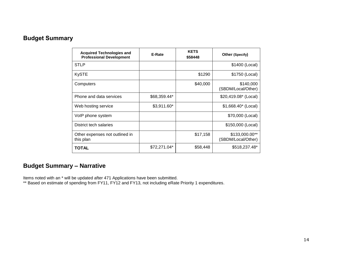# **Budget Summary**

| <b>Acquired Technologies and</b><br><b>Professional Development</b> | E-Rate       | <b>KETS</b><br>\$58448 | Other (Specify)                      |
|---------------------------------------------------------------------|--------------|------------------------|--------------------------------------|
| <b>STLP</b>                                                         |              |                        | \$1400 (Local)                       |
| <b>KySTE</b>                                                        |              | \$1290                 | \$1750 (Local)                       |
| Computers                                                           |              | \$40,000               | \$140,000<br>(SBDM/Local/Other)      |
| Phone and data services                                             | \$68,359.44* |                        | \$20,419.08* (Local)                 |
| Web hosting service                                                 | \$3,911.60*  |                        | $$1,668.40^*$ (Local)                |
| VoIP phone system                                                   |              |                        | \$70,000 (Local)                     |
| District tech salaries                                              |              |                        | \$150,000 (Local)                    |
| Other expenses not outlined in<br>this plan                         |              | \$17,158               | \$133,000.00**<br>(SBDM/Local/Other) |
| TOTAL                                                               | \$72,271.04* | \$58,448               | \$518,237.48*                        |

# <span id="page-17-0"></span>**Budget Summary – Narrative**

Items noted with an \* will be updated after 471 Applications have been submitted.

\*\* Based on estimate of spending from FY11, FY12 and FY13, not including eRate Priority 1 expenditures.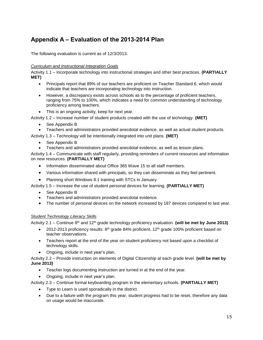# <span id="page-18-0"></span>**Appendix A – Evaluation of the 2013-2014 Plan**

The following evaluation is current as of 12/3/2013.

#### *Curriculum and Instructional Integration Goals*

Activity 1.1 – Incorporate technology into instructional strategies and other best practices. **(PARTIALLY MET)**

- Principals report that 89% of our teachers are proficient on Teacher Standard 6, which would indicate that teachers are incorporating technology into instruction.
- However, a discrepancy exists across schools as to the percentage of proficient teachers, ranging from 75% to 100%, which indicates a need for common understanding of technology proficiency among teachers.
- This is an ongoing activity, keep for next year.

Activity 1.2 – Increase number of student products created with the use of technology. **(MET)**

- See Appendix B
- Teachers and administrators provided anecdotal evidence, as well as actual student products.

Activity 1.3 – Technology will be intentionally integrated into unit plans. **(MET)**

- See Appendix B
- Teachers and administrators provided anecdotal evidence, as well as lesson plans.

Activity 1.4 – Communicate with staff regularly, providing reminders of current resources and information on new resources. **(PARTIALLY MET)**

- Information disseminated about Office 365 Wave 15 to all staff members.
- Various information shared with principals, so they can disseminate as they feel pertinent.
- Planning short Windows 8.1 training with STCs in January.

Activity 1.5 – Increase the use of student personal devices for learning. **(PARTIALLY MET)**

- See Appendix B
- Teachers and administrators provided anecdotal evidence.
- The number of personal devices on the network increased by 187 devices compared to last year.

#### *Student Technology Literacy Skills*

Activity 2.1 – Continue 8<sup>th</sup> and 12<sup>th</sup> grade technology proficiency evaluation. **(will be met by June 2013)** 

- 2012-2013 proficiency results:  $8<sup>th</sup>$  grade  $84%$  proficient, 12<sup>th</sup> grade 100% proficient based on teacher observations.
- Teachers report at the end of the year on student proficiency not based upon a checklist of technology skills.
- Ongoing, include in next year's plan.

Activity 2.2 – Provide instruction on elements of Digital Citizenship at each grade level. **(will be met by June 2013)**

- Teacher logs documenting instruction are turned in at the end of the year.
- Ongoing, include in next year's plan.

Activity 2.3 – Continue formal keyboarding program in the elementary schools. **(PARTIALLY MET)**

- Type to Learn is used sporadically in the district.
- Due to a failure with the program this year, student progress had to be reset, therefore any data on usage would be inaccurate.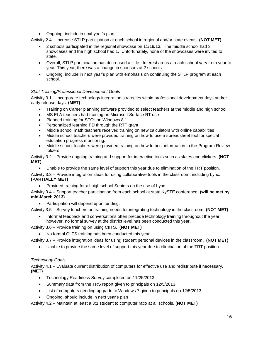• Ongoing, include in next year's plan.

Activity 2.4 – Increase STLP participation at each school in regional and/or state events. **(NOT MET)**

- 2 schools participated in the regional showcase on 11/19/13. The middle school had 3 showcases and the high school had 1. Unfortunately, none of the showcases were invited to state.
- Overall, STLP participation has decreased a little. Interest areas at each school vary from year to year. This year, there was a change in sponsors at 2 schools.
- Ongoing, include in next year's plan with emphasis on continuing the STLP program at each school.

## *Staff Training/Professional Development Goals*

Activity 3.1 – Incorporate technology integration strategies within professional development days and/or early release days. **(MET)**

- Training on Career planning software provided to select teachers at the middle and high school
- MS ELA teachers had training on Microsoft Surface RT use
- Planned training for STCs on Windows 8.1
- Personalized learning PD through the RTT grant
- Middle school math teachers received training on new calculators with online capabilities
- Middle school teachers were provided training on how to use a spreadsheet tool for special education progress monitoring.
- Middle school teachers were provided training on how to post information to the Program Review folders.

Activity 3.2 – Provide ongoing training and support for interactive tools such as slates and clickers. **(NOT MET)**

Unable to provide the same level of support this year due to elimination of the TRT position.

Activity 3.3 – Provide integration ideas for using collaborative tools in the classroom, including Lync. **(PARTIALLY MET)**

• Provided training for all high school Seniors on the use of Lync

Activity 3.4 – Support teacher participation from each school at state KySTE conference. **(will be met by mid-March 2013)**

Participation will depend upon funding.

Activity 3.5 – Survey teachers on training needs for integrating technology in the classroom. **(NOT MET)**

 Informal feedback and conversations often precede technology training throughout the year; however, no formal survey at the district level has been conducted this year.

Activity 3.6 – Provide training on using CIITS. **(NOT MET)**

No formal CIITS training has been conducted this year.

Activity 3.7 – Provide integration ideas for using student personal devices in the classroom. **(NOT MET)**

Unable to provide the same level of support this year due to elimination of the TRT position.

#### *Technology Goals*

Activity 4.1 – Evaluate current distribution of computers for effective use and redistribute if necessary. **(MET)**

- Technology Readiness Survey completed on 11/25/2013
- Summary data from the TRS report given to principals on 12/5/2013
- List of computers needing upgrade to Windows 7 given to principals on 12/5/2013
- Ongoing, should include in next year's plan

Activity 4.2 – Maintain at least a 3:1 student to computer ratio at all schools. **(NOT MET)**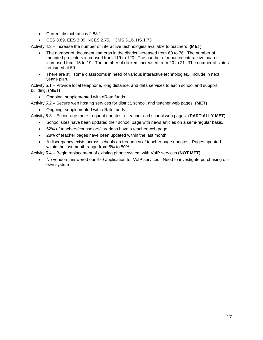- Current district ratio is 2.83:1
- CES 3.89, EES 3.09, NCES 2.75, HCMS 3.16, HS 1.73

Activity 4.3 – Increase the number of interactive technologies available to teachers. **(MET)**

- The number of document cameras in the district increased from 68 to 76. The number of mounted projectors increased from 119 to 120. The number of mounted interactive boards increased from 15 to 19. The number of clickers increased from 20 to 21. The number of slates remained at 50.
- There are still some classrooms in need of various interactive technologies. Include in next year's plan.

Activity 5.1 – Provide local telephone, long distance, and data services to each school and support building. **(MET)**

Ongoing, supplemented with eRate funds

Activity 5.2 – Secure web hosting services for district, school, and teacher web pages. **(MET)**

• Ongoing, supplemented with eRate funds

Activity 5.3 – Encourage more frequent updates to teacher and school web pages. **(PARTIALLY MET)**

- School sites have been updated their school page with news articles on a semi-regular basis.
- 62% of teachers/counselors/librarians have a teacher web page.
- 28% of teacher pages have been updated within the last month.
- A discrepancy exists across schools on frequency of teacher page updates. Pages updated within the last month range from 5% to 50%.

Activity 5.4 – Begin replacement of existing phone system with VoIP services **(NOT MET)**

 No vendors answered our 470 application for VoIP services. Need to investigate purchasing our own system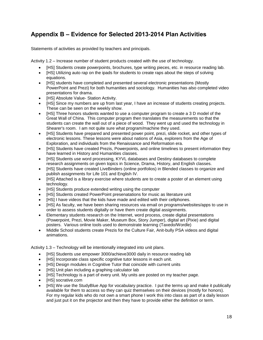# <span id="page-21-0"></span>**Appendix B – Evidence for Selected 2013-2014 Plan Activities**

Statements of activities as provided by teachers and principals.

Activity 1.2 – Increase number of student products created with the use of technology.

- [HS] Students create powerpoints, brochures, type writing pieces, etc. in resource reading lab.
- [HS] Utilizing auto rap on the ipads for students to create raps about the steps of solving equations.
- [HS] students have completed and presented several electronic presentations (Mostly PowerPoint and Prezi) for both humanities and sociology. Humanities has also completed video presentations for drama.
- [HS] Absolute Value- Station Activity.
- [HS] Since my numbers are up from last year, I have an increase of students creating projects. These can be seen on the weekly show.
- [HS] Three honors students wanted to use a computer program to create a 3 D model of the Great Wall of China. This computer program then translates the measurements so that the students can create the wall out of a piece of wood. They went up and used the technology in Shearer's room. I am not quite sure what program/machine they used.
- [HS] Students have prepared and presented power point, prezi, slide rocket, and other types of electronic lessons. These lessons were about nations of Asia, explorers from the Age of Exploration, and individuals from the Renaissance and Reformation era.
- [HS] Students have created Prezis, Powerpoints, and online timelines to present information they have learned in History and Humanities classes.
- IHSI Students use word processing, KYVL databases and Destiny databases to complete research assignments on given topics in Science, Drama, History, and English classes.
- [HS] Students have created LiveBinders (online portfolios) in Blended classes to organize and publish assignments for Life 101 and English IV.
- [HS] Attached is a library exercise where students are to create a poster of an element using technology.
- [HS] Students produce extended writing using the computer
- [HS] Students created PowerPoint presenatations for music as literature unit
- [HS] I have videos that the kids have made and edited with their cellphones.
- [HS] As faculty, we have been sharing resources via email on programs/websites/apps to use in order to assess students digitally or have them create digital assignments.
- Elementary students research on the Internet, word process, create digital presentations (Powerpoint, Prezi, Movie Maker, Museum Box, Story Jumper), digital art (Pixie) and digital posters. Various online tools used to demonstrate learning (Taxedo/Wordle)
- Middle School students create Prezis for the Culture Fair, Anit-bully PSA videos and digital animations.

Activity 1.3 – Technology will be intentionally integrated into unit plans.

- [HS] Students use empower 3000/achieve3000 daily in resource reading lab
- [HS] Incorporate class specific cognitive tutor lessons in each unit.
- [HS] Design modules in Cognitive Tutor that coincide with current units
- [HS] Unit plan including a graphing calculator lab
- [HS] Technology is a part of every unit. My units are posted on my teacher page.
- [HS] socrative.com
- [HS] We use the StudyBlue App for vocabulary practice. I put the terms up and make it publically available for them to access so they can quiz themselves on their devices (mostly for honors). For my regular kids who do not own a smart phone I work this into class as part of a daily lesson and just put it on the projector and then they have to provide either the definition or term.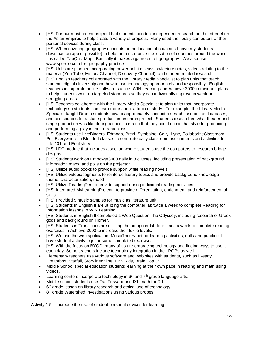- [HS] For our most recent project I had students conduct independent research on the internet on the Asian Empires to help create a variety of projects. Many used the library computers or their personal devices during class.
- [HS] When covering geography concepts or the location of countries I have my students download an app (if possible) to help them memorize the location of countries around the world. It is called TapQuiz Map. Basically it makes a game out of geography. We also use www.sporcle.com for geography practice
- [HS] Units are planned incorporating power point discussion/lecture notes, videos relating to the material (You Tube, History Channel, Discovery Channel), and student related research.
- [HS] English teachers collaborated with the Library Media Specialist to plan units that teach students digital citizenship and how to use technology appropriately and responsibly. English teachers incorporate online software such as WIN Learning and Achieve 3000 in their unit plans to help students work on targeted standards so they can individually improve in weak or struggling areas.
- [HS] Teachers collaborate with the Library Media Specialist to plan units that incorporate technology so students can learn more about a topic of study. For example, the Library Media Specialist taught Drama students how to appropriately conduct research, use online databases, and cite sources for a stage production research project. Students researched what theater and stage production was like during a specific era so that they could mimic that style for producing and performing a play in their drama class.
- [HS] Students use LiveBinders, Edmodo, Prezi, Symbaloo, Celly, Lync, CollaborizeClassroom, Poll Everywhere in Blended classes to complete daily classroom assignments and activities for Life 101 and English IV.
- [HS] LDC module that includes a section where students use the computers to research bridge designs.
- [HS] Students work on Empower3000 daily in 3 classes, including presentation of background information,maps, and polls on the projector
- [HS] Utilize audio books to provide support while reading novels
- [HS] Utilize videos/segments to reinforce literary topics and provide background knowledge theme, characterization, mood
- [HS] Utilize ReadingPen to provide support during individual reading activities
- [HS] Integrated MyLearningPro.com to provide differentiation, enrichment, and reinforcement of skills
- [HS] Provided 5 music samples for music as literature unit
- [HS] Students in English II are utilizing the computer lab twice a week to complete Reading for Information lessons in WIN Learning.
- IHSI Students in English II completed a Web Quest on The Odyssey, including research of Greek gods and background on Homer.
- [HS] Students in Transitions are utilizing the computer lab four times a week to complete reading exercises in Achieve 3000 to increase their lexile levels.
- [HS] We use the web application, MusicTheory.net for learning activities, drills and practice. I have student activity logs for some completed exercises.
- [HS] With the focus on BYOD, many of us are embracing technology and finding ways to use it each day. Some teachers include technology integration in their PGPs as well.
- Elementary teachers use various software and web sites with students, such as iReady, Dreambox, Starfall, Storylineonline, PBS Kids, Brain Pop Jr.
- Middle School special education students learning at their own pace in reading and math using videos.
- Learning centers incorporate technology in  $6<sup>th</sup>$  and  $7<sup>th</sup>$  grade language arts.
- Middle school students use FastForward and IXL math for RtI.
- $\bullet$  6<sup>th</sup> grade lesson on library research and ethical use of technology.
- 8<sup>th</sup> grade Watershed Investigations using various probes.

Activity 1.5 – Increase the use of student personal devices for learning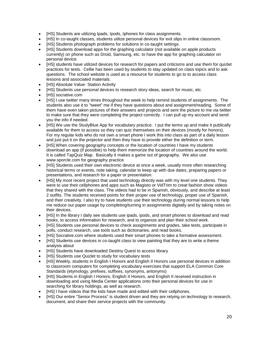- [HS] Students are utilizing Ipads, Ipods, Iphones for class assignments.
- [HS] In co-taught classes, students utilize personal devices for exit slips in online classroom.
- [HS] Students photograph problems for solutions in co-taught settings.
- [HS] Students download apps for the graphing calculator (not available on apple products currently) on phone such as Droid, Samsung, etc. to have the app for graphing calculator on personal device.
- [HS] students have utilized devices for research for papers and criticisms and use them for quizlet practices for tests. Cellie has been used by students to stay updated on class topics and to ask questions. The school website is used as a resource for students to go to to access class lessons and associated materials.
- [HS] Absolute Value- Station Activity
- [HS] Students use personal devices to research story ideas, search for music, etc.
- [HS] socrative.com
- [HS] I use twitter many times throughout the week to help remind students of assignments. The students also use it to "tweet" me if they have questions about and assignment/reading. Some of them have even taken pictures of their answers and projects and sent the picture to me via twitter to make sure that they were completing the project correctly. I can pull up my account and send you the info if needed.
- [HS] We use the StudyBlue App for vocabulary practice. I put the terms up and make it publically available for them to access so they can quiz themselves on their devices (mostly for honors). For my regular kids who do not own a smart phone I work this into class as part of a daily lesson and just put it on the projector and then they have to provide either the definition or term.
- [HS] When covering geography concepts or the location of countries I have my students download an app (if possible) to help them memorize the location of countries around the world. It is called TapQuiz Map. Basically it makes a game out of geography. We also use www.sporcle.com for geography practice
- [HS] Students used their own electronic device at once a week, usually more often researching historical terms or events, note taking, calendar to keep up with due dates, preparing papers or presentations, and research for a paper or presentation.
- [HS] My most recent project that used technology directly was with my level one students. They were to use their cellphones and apps such as Magisto or VidTrim to creat fashion show videos that they shared with the class. The videos had to be in Spanish, obviously, and describe at least 2 outfits. The students received points for their proper use of technology, proper use of Spanish, and their creativity. I also try to have students use their technology during normal lessons to help me reduce our paper usage by completing/turning in assignments digitally and by taking notes on their devices.
- [HS] In the library I daily see students use ipads, ipods, and smart phones to download and read books, to access information for research, and to organize and plan their school work.
- [HS] Students use personal devices to check assignments and grades, take tests, participate in polls, conduct research, use tools such as dictionaries, and read books.
- [HS] Socrative.com where students used their smart phones to take a formative assessment.
- [HS] Students use devices in co-taught class to view painting that they are to write a theme analysis about
- [HS] Students have downloaded Destiny Quest to access library
- IHSI Students use Quizlet to study for vocabulary tests
- [HS] Weekly, students in English I Honors and English II Honors use personal devices in addition to classroom computers for completing vocabulary exercises that support ELA Common Core Standards (etymology, prefixes, suffixes, synonyms, antonyms)
- [HS] Students in English I Honors, English II Honors, and English II received instruction in downloading and using Media Center applications onto their personal devices for use in searching for library holdings, as well as research.
- [HS] I have videos that the kids have made and edited with their cellphones.
- [HS] Our entire "Senior Process" is student driven and they are relying on technology to research, document, and share their service projects with the community.